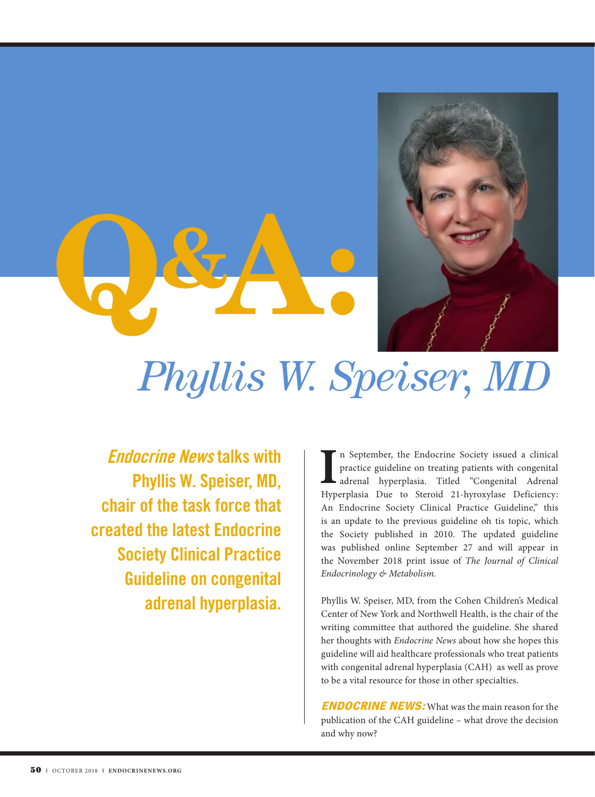



## *Phyllis W. Speiser, MD*

Endocrine News talks with Phyllis W. Speiser, MD, chair of the task force that created the latest Endocrine Society Clinical Practice Guideline on congenital adrenal hyperplasia.

In September, the Endocrine Society issued a clinical practice guideline on treating patients with congenital adrenal Hyperplasia. Titled "Congenital Adrenal Hyperplasia Due to Steroid 21-hyroxylase Deficiency: n September, the Endocrine Society issued a clinical practice guideline on treating patients with congenital adrenal hyperplasia. Titled "Congenital Adrenal An Endocrine Society Clinical Practice Guideline," this is an update to the previous guideline oh tis topic, which the Society published in 2010. The updated guideline was published online September 27 and will appear in the November 2018 print issue of *The Journal of Clinical Endocrinology & Metabolism.*

Phyllis W. Speiser, MD, from the Cohen Children's Medical Center of New York and Northwell Health, is the chair of the writing committee that authored the guideline. She shared her thoughts with *Endocrine News* about how she hopes this guideline will aid healthcare professionals who treat patients with congenital adrenal hyperplasia (CAH) as well as prove to be a vital resource for those in other specialties.

**ENDOCRINE NEWS:** What was the main reason for the publication of the CAH guideline – what drove the decision and why now?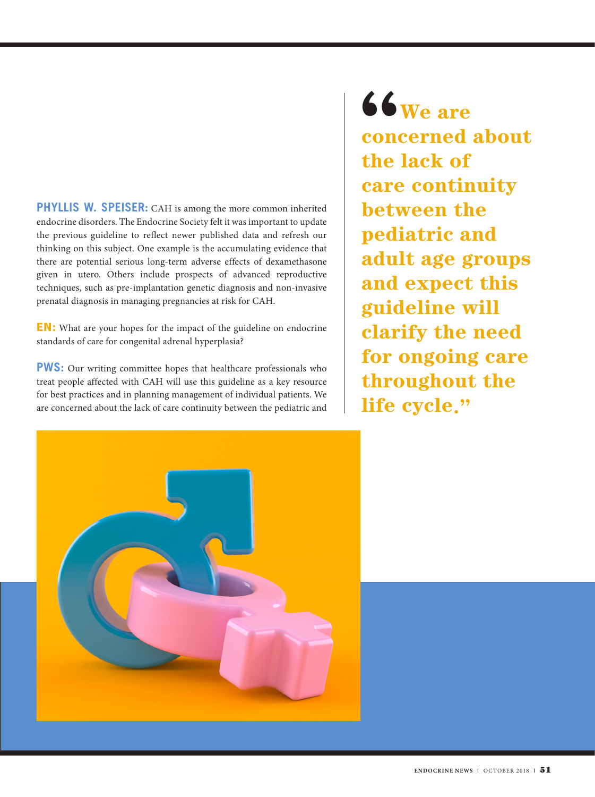**PHYLLIS W. SPEISER:** CAH is among the more common inherited endocrine disorders. The Endocrine Society felt it was important to update the previous guideline to reflect newer published data and refresh our thinking on this subject. One example is the accumulating evidence that there are potential serious long-term adverse effects of dexamethasone given in utero. Others include prospects of advanced reproductive techniques, such as pre-implantation genetic diagnosis and non-invasive prenatal diagnosis in managing pregnancies at risk for CAH.

EN: What are your hopes for the impact of the guideline on endocrine standards of care for congenital adrenal hyperplasia?

**PWS:** Our writing committee hopes that healthcare professionals who treat people affected with CAH will use this guideline as a key resource for best practices and in planning management of individual patients. We are concerned about the lack of care continuity between the pediatric and

"**We are concerned about the lack of care continuity between the pediatric and adult age groups and expect this guideline will clarify the need for ongoing care throughout the life cycle."**